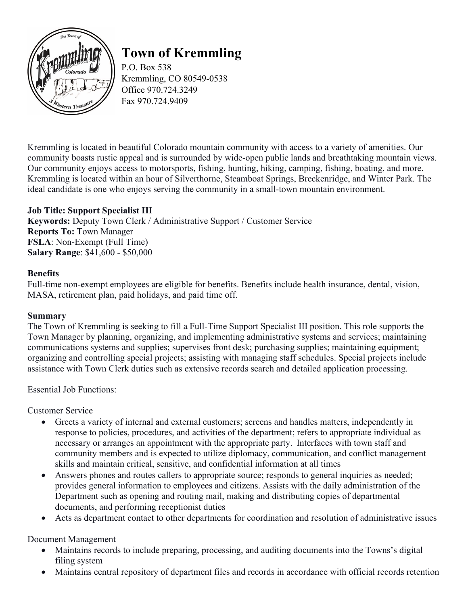

# **Town of Kremmling**

P.O. Box 538 Kremmling, CO 80549-0538 Office 970.724.3249 Fax 970.724.9409

Kremmling is located in beautiful Colorado mountain community with access to a variety of amenities. Our community boasts rustic appeal and is surrounded by wide-open public lands and breathtaking mountain views. Our community enjoys access to motorsports, fishing, hunting, hiking, camping, fishing, boating, and more. Kremmling is located within an hour of Silverthorne, Steamboat Springs, Breckenridge, and Winter Park. The ideal candidate is one who enjoys serving the community in a small-town mountain environment.

# **Job Title: Support Specialist III**

**Keywords:** Deputy Town Clerk / Administrative Support / Customer Service **Reports To:** Town Manager **FSLA**: Non-Exempt (Full Time) **Salary Range**: \$41,600 - \$50,000

## **Benefits**

Full-time non-exempt employees are eligible for benefits. Benefits include health insurance, dental, vision, MASA, retirement plan, paid holidays, and paid time off.

#### **Summary**

The Town of Kremmling is seeking to fill a Full-Time Support Specialist III position. This role supports the Town Manager by planning, organizing, and implementing administrative systems and services; maintaining communications systems and supplies; supervises front desk; purchasing supplies; maintaining equipment; organizing and controlling special projects; assisting with managing staff schedules. Special projects include assistance with Town Clerk duties such as extensive records search and detailed application processing.

Essential Job Functions:

Customer Service

- Greets a variety of internal and external customers; screens and handles matters, independently in response to policies, procedures, and activities of the department; refers to appropriate individual as necessary or arranges an appointment with the appropriate party.  Interfaces with town staff and community members and is expected to utilize diplomacy, communication, and conflict management skills and maintain critical, sensitive, and confidential information at all times
- Answers phones and routes callers to appropriate source; responds to general inquiries as needed; provides general information to employees and citizens. Assists with the daily administration of the Department such as opening and routing mail, making and distributing copies of departmental documents, and performing receptionist duties
- Acts as department contact to other departments for coordination and resolution of administrative issues

Document Management

- Maintains records to include preparing, processing, and auditing documents into the Towns's digital filing system
- Maintains central repository of department files and records in accordance with official records retention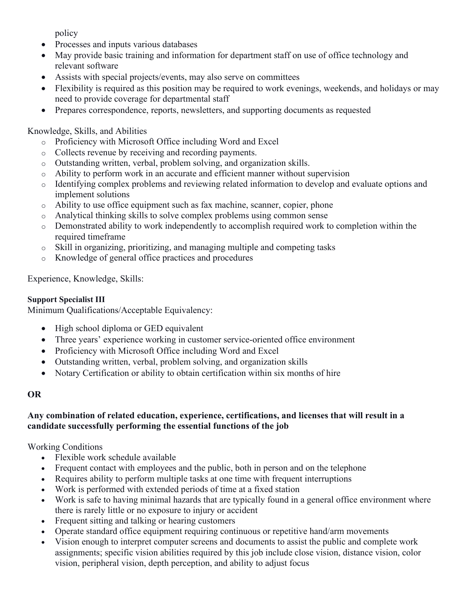policy

- Processes and inputs various databases
- May provide basic training and information for department staff on use of office technology and relevant software
- Assists with special projects/events, may also serve on committees
- Flexibility is required as this position may be required to work evenings, weekends, and holidays or may need to provide coverage for departmental staff
- Prepares correspondence, reports, newsletters, and supporting documents as requested

Knowledge, Skills, and Abilities

- o Proficiency with Microsoft Office including Word and Excel
- o Collects revenue by receiving and recording payments.
- o Outstanding written, verbal, problem solving, and organization skills.
- $\circ$  Ability to perform work in an accurate and efficient manner without supervision
- o Identifying complex problems and reviewing related information to develop and evaluate options and implement solutions
- o Ability to use office equipment such as fax machine, scanner, copier, phone
- o Analytical thinking skills to solve complex problems using common sense
- o Demonstrated ability to work independently to accomplish required work to completion within the required timeframe
- o Skill in organizing, prioritizing, and managing multiple and competing tasks
- o Knowledge of general office practices and procedures

Experience, Knowledge, Skills:

### **Support Specialist III**

Minimum Qualifications/Acceptable Equivalency:

- High school diploma or GED equivalent
- Three years' experience working in customer service-oriented office environment
- Proficiency with Microsoft Office including Word and Excel
- Outstanding written, verbal, problem solving, and organization skills
- Notary Certification or ability to obtain certification within six months of hire

## **OR**

## **Any combination of related education, experience, certifications, and licenses that will result in a candidate successfully performing the essential functions of the job**

Working Conditions

- Flexible work schedule available
- Frequent contact with employees and the public, both in person and on the telephone
- Requires ability to perform multiple tasks at one time with frequent interruptions
- Work is performed with extended periods of time at a fixed station
- Work is safe to having minimal hazards that are typically found in a general office environment where there is rarely little or no exposure to injury or accident
- Frequent sitting and talking or hearing customers
- Operate standard office equipment requiring continuous or repetitive hand/arm movements
- Vision enough to interpret computer screens and documents to assist the public and complete work assignments; specific vision abilities required by this job include close vision, distance vision, color vision, peripheral vision, depth perception, and ability to adjust focus